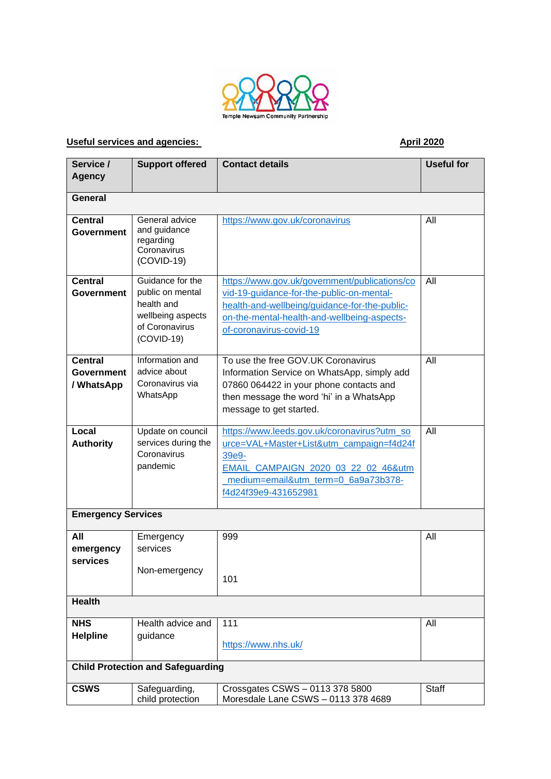

## **Useful services and agencies:** April 2020

| Service /                                  | <b>Support offered</b>                                                                                    | <b>Contact details</b>                                                                                                                                                                                                | <b>Useful for</b> |
|--------------------------------------------|-----------------------------------------------------------------------------------------------------------|-----------------------------------------------------------------------------------------------------------------------------------------------------------------------------------------------------------------------|-------------------|
| <b>Agency</b>                              |                                                                                                           |                                                                                                                                                                                                                       |                   |
| General                                    |                                                                                                           |                                                                                                                                                                                                                       |                   |
| <b>Central</b><br>Government               | General advice<br>and guidance<br>regarding<br>Coronavirus<br>$(COVID-19)$                                | https://www.gov.uk/coronavirus                                                                                                                                                                                        | All               |
| <b>Central</b><br>Government               | Guidance for the<br>public on mental<br>health and<br>wellbeing aspects<br>of Coronavirus<br>$(COVID-19)$ | https://www.gov.uk/government/publications/co<br>vid-19-quidance-for-the-public-on-mental-<br>health-and-wellbeing/guidance-for-the-public-<br>on-the-mental-health-and-wellbeing-aspects-<br>of-coronavirus-covid-19 | All               |
| <b>Central</b><br>Government<br>/ WhatsApp | Information and<br>advice about<br>Coronavirus via<br>WhatsApp                                            | To use the free GOV.UK Coronavirus<br>Information Service on WhatsApp, simply add<br>07860 064422 in your phone contacts and<br>then message the word 'hi' in a WhatsApp<br>message to get started.                   | All               |
| Local<br><b>Authority</b>                  | Update on council<br>services during the<br>Coronavirus<br>pandemic                                       | https://www.leeds.gov.uk/coronavirus?utm_so<br>urce=VAL+Master+List&utm_campaign=f4d24f<br>39e9-<br>EMAIL_CAMPAIGN_2020_03_22_02_46&utm<br>medium=email&utm_term=0_6a9a73b378-<br>f4d24f39e9-431652981                | All               |
| <b>Emergency Services</b>                  |                                                                                                           |                                                                                                                                                                                                                       |                   |
| All<br>emergency<br>services               | Emergency<br>services<br>Non-emergency                                                                    | 999<br>101                                                                                                                                                                                                            | All               |
| <b>Health</b>                              |                                                                                                           |                                                                                                                                                                                                                       |                   |
| <b>NHS</b><br><b>Helpline</b>              | Health advice and<br>guidance                                                                             | 111<br>https://www.nhs.uk/                                                                                                                                                                                            | All               |
| <b>Child Protection and Safeguarding</b>   |                                                                                                           |                                                                                                                                                                                                                       |                   |
| <b>CSWS</b>                                | Safeguarding,<br>child protection                                                                         | Crossgates CSWS - 0113 378 5800<br>Moresdale Lane CSWS - 0113 378 4689                                                                                                                                                | Staff             |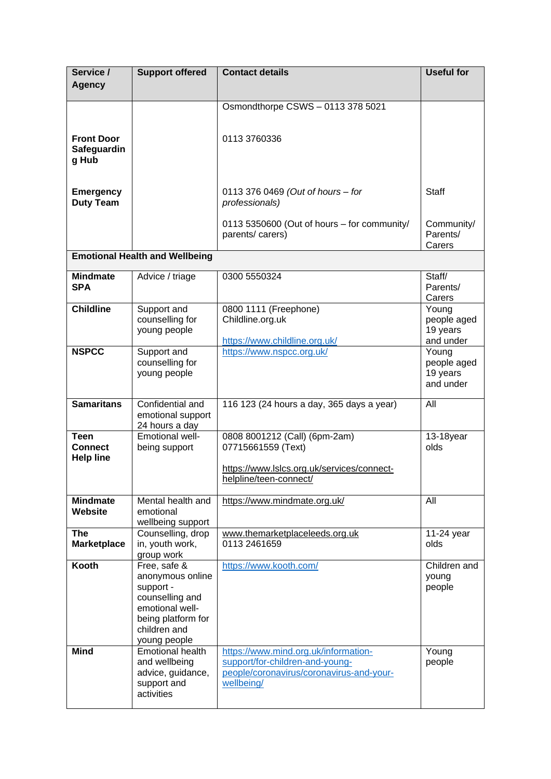| Service /<br><b>Agency</b>                        | <b>Support offered</b>                                                                                                                    | <b>Contact details</b>                                                                                                            | <b>Useful for</b>                             |
|---------------------------------------------------|-------------------------------------------------------------------------------------------------------------------------------------------|-----------------------------------------------------------------------------------------------------------------------------------|-----------------------------------------------|
|                                                   |                                                                                                                                           | Osmondthorpe CSWS - 0113 378 5021                                                                                                 |                                               |
| <b>Front Door</b><br>Safeguardin<br>g Hub         |                                                                                                                                           | 0113 3760336                                                                                                                      |                                               |
| <b>Emergency</b><br><b>Duty Team</b>              |                                                                                                                                           | 0113 376 0469 (Out of hours - for<br>professionals)                                                                               | <b>Staff</b>                                  |
|                                                   |                                                                                                                                           | 0113 5350600 (Out of hours - for community/<br>parents/carers)                                                                    | Community/<br>Parents/<br>Carers              |
|                                                   | <b>Emotional Health and Wellbeing</b>                                                                                                     |                                                                                                                                   |                                               |
| <b>Mindmate</b><br><b>SPA</b>                     | Advice / triage                                                                                                                           | 0300 5550324                                                                                                                      | Staff/<br>Parents/<br>Carers                  |
| <b>Childline</b>                                  | Support and<br>counselling for<br>young people                                                                                            | 0800 1111 (Freephone)<br>Childline.org.uk<br>https://www.childline.org.uk/                                                        | Young<br>people aged<br>19 years<br>and under |
| <b>NSPCC</b>                                      | Support and<br>counselling for<br>young people                                                                                            | https://www.nspcc.org.uk/                                                                                                         | Young<br>people aged<br>19 years<br>and under |
| <b>Samaritans</b>                                 | Confidential and<br>emotional support<br>24 hours a day                                                                                   | 116 123 (24 hours a day, 365 days a year)                                                                                         | All                                           |
| <b>Teen</b><br><b>Connect</b><br><b>Help line</b> | Emotional well-<br>being support                                                                                                          | 0808 8001212 (Call) (6pm-2am)<br>07715661559 (Text)<br>https://www.lslcs.org.uk/services/connect-<br>helpline/teen-connect/       | 13-18year<br>olds                             |
| <b>Mindmate</b><br><b>Website</b>                 | Mental health and<br>emotional<br>wellbeing support                                                                                       | https://www.mindmate.org.uk/                                                                                                      | All                                           |
| <b>The</b><br><b>Marketplace</b>                  | Counselling, drop<br>in, youth work,<br>group work                                                                                        | www.themarketplaceleeds.org.uk<br>0113 2461659                                                                                    | 11-24 year<br>olds                            |
| Kooth                                             | Free, safe &<br>anonymous online<br>support -<br>counselling and<br>emotional well-<br>being platform for<br>children and<br>young people | https://www.kooth.com/                                                                                                            | Children and<br>young<br>people               |
| <b>Mind</b>                                       | Emotional health<br>and wellbeing<br>advice, guidance,<br>support and<br>activities                                                       | https://www.mind.org.uk/information-<br>support/for-children-and-young-<br>people/coronavirus/coronavirus-and-your-<br>wellbeing/ | Young<br>people                               |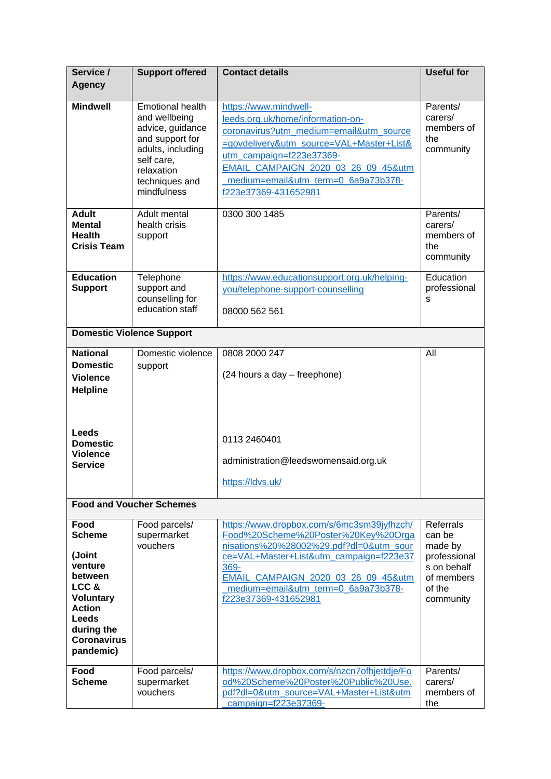| Service /                                                                                                                                                           | <b>Support offered</b>                                                                                                                                            | <b>Contact details</b>                                                                                                                                                                                                                                                                | <b>Useful for</b>                                                                                         |
|---------------------------------------------------------------------------------------------------------------------------------------------------------------------|-------------------------------------------------------------------------------------------------------------------------------------------------------------------|---------------------------------------------------------------------------------------------------------------------------------------------------------------------------------------------------------------------------------------------------------------------------------------|-----------------------------------------------------------------------------------------------------------|
| <b>Agency</b>                                                                                                                                                       |                                                                                                                                                                   |                                                                                                                                                                                                                                                                                       |                                                                                                           |
| <b>Mindwell</b>                                                                                                                                                     | <b>Emotional health</b><br>and wellbeing<br>advice, guidance<br>and support for<br>adults, including<br>self care,<br>relaxation<br>techniques and<br>mindfulness | https://www.mindwell-<br>leeds.org.uk/home/information-on-<br>coronavirus?utm_medium=email&utm_source<br>=govdelivery&utm_source=VAL+Master+List&<br>utm_campaign=f223e37369-<br>EMAIL CAMPAIGN 2020 03 26 09 45&utm<br>medium=email&utm_term=0_6a9a73b378-<br>f223e37369-431652981   | Parents/<br>carers/<br>members of<br>the<br>community                                                     |
| <b>Adult</b><br><b>Mental</b><br><b>Health</b><br><b>Crisis Team</b>                                                                                                | Adult mental<br>health crisis<br>support                                                                                                                          | 0300 300 1485                                                                                                                                                                                                                                                                         | Parents/<br>carers/<br>members of<br>the<br>community                                                     |
| <b>Education</b><br><b>Support</b>                                                                                                                                  | Telephone<br>support and<br>counselling for<br>education staff                                                                                                    | https://www.educationsupport.org.uk/helping-<br>you/telephone-support-counselling<br>08000 562 561                                                                                                                                                                                    | Education<br>professional<br>S                                                                            |
| <b>Domestic Violence Support</b>                                                                                                                                    |                                                                                                                                                                   |                                                                                                                                                                                                                                                                                       |                                                                                                           |
| <b>National</b><br><b>Domestic</b><br><b>Violence</b><br><b>Helpline</b><br><b>Leeds</b><br><b>Domestic</b><br><b>Violence</b><br><b>Service</b>                    | Domestic violence<br>support                                                                                                                                      | 0808 2000 247<br>(24 hours a day - freephone)<br>0113 2460401<br>administration@leedswomensaid.org.uk<br>https://ldvs.uk/                                                                                                                                                             | All                                                                                                       |
|                                                                                                                                                                     | <b>Food and Voucher Schemes</b>                                                                                                                                   |                                                                                                                                                                                                                                                                                       |                                                                                                           |
| Food<br><b>Scheme</b><br>(Joint<br>venture<br>between<br>LCC&<br><b>Voluntary</b><br><b>Action</b><br><b>Leeds</b><br>during the<br><b>Coronavirus</b><br>pandemic) | Food parcels/<br>supermarket<br>vouchers                                                                                                                          | https://www.dropbox.com/s/6mc3sm39jyfhzch/<br>Food%20Scheme%20Poster%20Key%20Orga<br>nisations%20%28002%29.pdf?dl=0&utm_sour<br>ce=VAL+Master+List&utm_campaign=f223e37<br>369-<br>EMAIL_CAMPAIGN_2020_03_26_09_45&utm<br>medium=email&utm_term=0_6a9a73b378-<br>f223e37369-431652981 | <b>Referrals</b><br>can be<br>made by<br>professional<br>s on behalf<br>of members<br>of the<br>community |
| Food<br><b>Scheme</b>                                                                                                                                               | Food parcels/<br>supermarket<br>vouchers                                                                                                                          | https://www.dropbox.com/s/nzcn7ofhjettdje/Fo<br>od%20Scheme%20Poster%20Public%20Use.<br>pdf?dl=0&utm_source=VAL+Master+List&utm<br>campaign=f223e37369-                                                                                                                               | Parents/<br>carers/<br>members of<br>the                                                                  |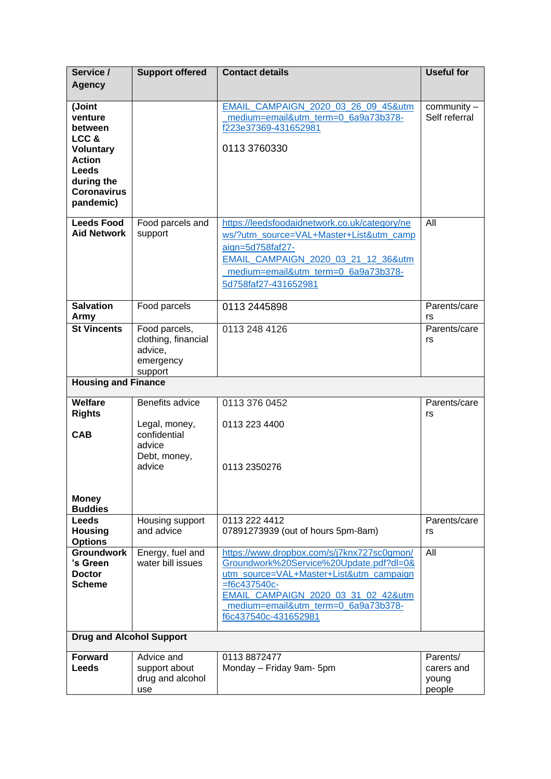| Service /                                                                                                                           | <b>Support offered</b>                                                               | <b>Contact details</b>                                                                                                                                                                                                                                    | <b>Useful for</b>                         |
|-------------------------------------------------------------------------------------------------------------------------------------|--------------------------------------------------------------------------------------|-----------------------------------------------------------------------------------------------------------------------------------------------------------------------------------------------------------------------------------------------------------|-------------------------------------------|
| <b>Agency</b>                                                                                                                       |                                                                                      |                                                                                                                                                                                                                                                           |                                           |
| (Joint<br>venture<br>between<br>LCC&<br><b>Voluntary</b><br><b>Action</b><br>Leeds<br>during the<br><b>Coronavirus</b><br>pandemic) |                                                                                      | EMAIL CAMPAIGN 2020 03 26 09 45&utm<br>medium=email&utm_term=0_6a9a73b378-<br>f223e37369-431652981<br>0113 3760330                                                                                                                                        | community -<br>Self referral              |
| <b>Leeds Food</b><br><b>Aid Network</b>                                                                                             | Food parcels and<br>support                                                          | https://leedsfoodaidnetwork.co.uk/category/ne<br>ws/?utm_source=VAL+Master+List&utm_camp<br>aign=5d758faf27-<br>EMAIL CAMPAIGN 2020 03 21 12 36&utm<br>medium=email&utm_term=0_6a9a73b378-<br>5d758faf27-431652981                                        | All                                       |
| <b>Salvation</b><br>Army                                                                                                            | Food parcels                                                                         | 0113 2445898                                                                                                                                                                                                                                              | Parents/care<br>rs                        |
| <b>St Vincents</b>                                                                                                                  | Food parcels,<br>clothing, financial<br>advice,<br>emergency<br>support              | 0113 248 4126                                                                                                                                                                                                                                             | Parents/care<br>rs                        |
| <b>Housing and Finance</b>                                                                                                          |                                                                                      |                                                                                                                                                                                                                                                           |                                           |
| Welfare<br><b>Rights</b><br><b>CAB</b><br><b>Money</b><br><b>Buddies</b>                                                            | Benefits advice<br>Legal, money,<br>confidential<br>advice<br>Debt, money,<br>advice | 0113 376 0452<br>0113 223 4400<br>0113 2350276                                                                                                                                                                                                            | Parents/care<br>rs                        |
| <b>Leeds</b><br><b>Housing</b><br><b>Options</b>                                                                                    | Housing support<br>and advice                                                        | 0113 222 4412<br>07891273939 (out of hours 5pm-8am)                                                                                                                                                                                                       | Parents/care<br>rs                        |
| <b>Groundwork</b><br>'s Green<br><b>Doctor</b><br><b>Scheme</b>                                                                     | Energy, fuel and<br>water bill issues                                                | https://www.dropbox.com/s/j7knx727sc0gmon/<br>Groundwork%20Service%20Update.pdf?dl=0&<br>utm_source=VAL+Master+List&utm_campaign<br>$=$ f6c437540c-<br>EMAIL CAMPAIGN 2020 03 31 02 42&utm<br>medium=email&utm_term=0_6a9a73b378-<br>f6c437540c-431652981 | All                                       |
| <b>Drug and Alcohol Support</b>                                                                                                     |                                                                                      |                                                                                                                                                                                                                                                           |                                           |
| <b>Forward</b><br>Leeds                                                                                                             | Advice and<br>support about<br>drug and alcohol<br>use                               | 0113 8872477<br>Monday - Friday 9am- 5pm                                                                                                                                                                                                                  | Parents/<br>carers and<br>young<br>people |